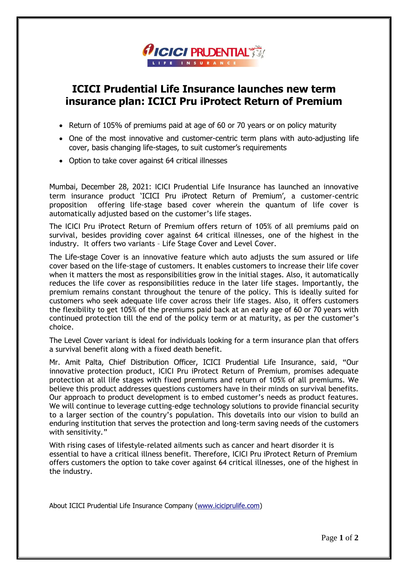

## **ICICI Prudential Life Insurance launches new term insurance plan: ICICI Pru iProtect Return of Premium**

- Return of 105% of premiums paid at age of 60 or 70 years or on policy maturity
- One of the most innovative and customer-centric term plans with auto-adjusting life cover, basis changing life-stages, to suit customer's requirements
- Option to take cover against 64 critical illnesses

Mumbai, December 28, 2021: ICICI Prudential Life Insurance has launched an innovative term insurance product 'ICICI Pru iProtect Return of Premium', a customer-centric proposition offering life-stage based cover wherein the quantum of life cover is automatically adjusted based on the customer's life stages.

The ICICI Pru iProtect Return of Premium offers return of 105% of all premiums paid on survival, besides providing cover against 64 critical illnesses, one of the highest in the industry. It offers two variants – Life Stage Cover and Level Cover.

The Life-stage Cover is an innovative feature which auto adjusts the sum assured or life cover based on the life-stage of customers. It enables customers to increase their life cover when it matters the most as responsibilities grow in the initial stages. Also, it automatically reduces the life cover as responsibilities reduce in the later life stages. Importantly, the premium remains constant throughout the tenure of the policy. This is ideally suited for customers who seek adequate life cover across their life stages. Also, it offers customers the flexibility to get 105% of the premiums paid back at an early age of 60 or 70 years with continued protection till the end of the policy term or at maturity, as per the customer's choice.

The Level Cover variant is ideal for individuals looking for a term insurance plan that offers a survival benefit along with a fixed death benefit.

Mr. Amit Palta, Chief Distribution Officer, ICICI Prudential Life Insurance, said, "Our innovative protection product, ICICI Pru iProtect Return of Premium, promises adequate protection at all life stages with fixed premiums and return of 105% of all premiums. We believe this product addresses questions customers have in their minds on survival benefits. Our approach to product development is to embed customer's needs as product features. We will continue to leverage cutting-edge technology solutions to provide financial security to a larger section of the country's population. This dovetails into our vision to build an enduring institution that serves the protection and long-term saving needs of the customers with sensitivity."

With rising cases of lifestyle-related ailments such as cancer and heart disorder it is essential to have a critical illness benefit. Therefore, ICICI Pru iProtect Return of Premium offers customers the option to take cover against 64 critical illnesses, one of the highest in the industry.

About ICICI Prudential Life Insurance Company [\(www.iciciprulife.com\)](http://www.iciciprulife.com/)